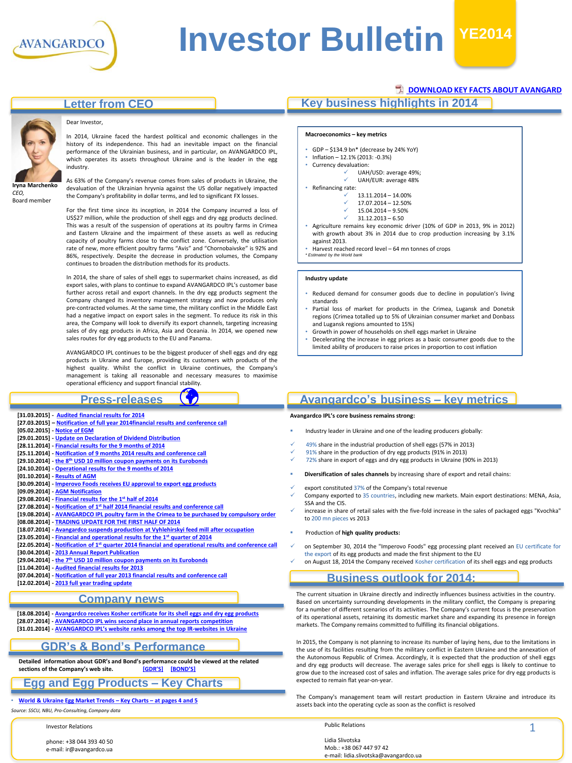

# **Investor Bulletin YE2014**

#### **Letter from CEO**



history of its independence. This had an inevitable impact on the financial performance of the Ukrainian business, and in particular, on AVANGARDCO IPL, which operates its assets throughout Ukraine and is the leader in the egg industry.

Dear Investor,

*CEO,* Board member

As 63% of the Company's revenue comes from sales of products in Ukraine, the devaluation of the Ukrainian hryvnia against the US dollar negatively impacted the Company's profitability in dollar terms, and led to significant FX losses.

In 2014, Ukraine faced the hardest political and economic challenges in the

For the first time since its inception, in 2014 the Company incurred a loss of US\$27 million, while the production of shell eggs and dry egg products declined. This was a result of the suspension of operations at its poultry farms in Crimea and Eastern Ukraine and the impairment of these assets as well as reducing capacity of poultry farms close to the conflict zone. Conversely, the utilisation rate of new, more efficient poultry farms "Avis" and "Chornobaivske" is 92% and 86%, respectively. Despite the decrease in production volumes, the Company continues to broaden the distribution methods for its products.

In 2014, the share of sales of shell eggs to supermarket chains increased, as did export sales, with plans to continue to expand AVANGARDСO IPL's customer base further across retail and export channels. In the dry egg products segment the Company changed its inventory management strategy and now produces only pre-contracted volumes. At the same time, the military conflict in the Middle East had a negative impact on export sales in the segment. To reduce its risk in this area, the Company will look to diversify its export channels, targeting increasing sales of dry egg products in Africa, Asia and Oceania. In 2014, we opened new sales routes for dry egg products to the EU and Panama.

AVANGARDCO IPL continues to be the biggest producer of shell eggs and dry egg products in Ukraine and Europe, providing its customers with products of the highest quality. Whilst the conflict in Ukraine continues, the Company's management is taking all reasonable and necessary measures to maximise operational efficiency and support financial stability*.*  $\bigcirc$ 

#### **Press-releases**

- **[31.03.2015] - [Audited financial results for 2014](http://avangard.co.ua/eng/press-centre/press-releases/e/year/2015/id/296/news_next/1/)**
- **[27.03.2015] – [Notification of full year 2014financial results and conference call](http://avangard.co.ua/eng/press-centre/press-releases/e/year/2015/id/295/news_next/1/)**
- **[05.02.2015] - [Notice of EGM](http://avangard.co.ua/eng/press-centre/press-releases/e/year/2015/id/294/news_next/1/)**
- **[29.01.2015] - [Update on Declaration of Dividend Distribution](http://avangard.co.ua/eng/press-centre/press-releases/e/year/2015/id/293/news_next/1/)**
- **[28.11.2014] - [Financial results for the 9 months of 2014](http://avangard.co.ua/eng/press-centre/press-releases/e/year/2014/id/291/news_next/1/)**
- **[25.11.2014] - [Notification of 9 months 2014 results and conference call](http://avangard.co.ua/eng/press-centre/press-releases/e/year/2014/id/290/news_next/1/)**
- **[29.10.2014] - the 8th [USD 10 million coupon payments on its Eurobonds](http://avangard.co.ua/eng/press-centre/press-releases/e/year/2014/id/289/news_next/1/) [24.10.2014] - [Operational results for the 9 months of 2014](http://avangard.co.ua/eng/press-centre/press-releases/e/year/2014/id/288/news_next/1/)**
- **[01.10.2014] - [Results of AGM](http://avangard.co.ua/eng/press-centre/press-releases/e/year/2014/id/286/news_next/1/)**
- **[30.09.2014] - Imperovo [Foods receives EU approval to export egg products](http://avangard.co.ua/eng/press-centre/press-releases/e/year/2014/id/285/news_next/6/)**
- **[09.09.2014] - [AGM Notification](http://avangard.co.ua/eng/press-centre/press-releases/e/year/2014/id/282/news_next/6/)**
- **[29.08.2014] - [Financial results for the 1](http://avangard.co.ua/eng/press-centre/press-releases/e/year/2014/id/281/news_next/6/)st half of 2014**
- **[27.08.2014] - Notification of 1st [half 2014 financial results and conference call](http://avangard.co.ua/eng/press-centre/press-releases/e/year/2014/id/280/news_next/6/)**
- **[19.08.2014] - [AVANGARDCO IPL poultry farm in the Crimea to be purchased by compulsory order](http://avangard.co.ua/eng/press-centre/press-releases/e/year/2014/id/279/news_next/6/) [08.08.2014] - [TRADING UPDATE FOR THE FIRST HALF OF 2014](http://avangard.co.ua/eng/press-centre/press-releases/e/year/2014/id/276/news_next/11/) [18.07.2014] - Avangardco [suspends production at Vyhlehirskyi](http://avangard.co.ua/eng/press-centre/press-releases/e/year/2014/id/274/news_next/11/) feed mill after occupation [23.05.2014] - [Financial and operational results for the 1](http://avangard.co.ua/eng/press-centre/press-releases/e/year/2014/id/272/news_next/11/)st quarter of 2014 [22.05.2014] - Notification of 1st [quarter 2014 financial and operational results and conference call](http://avangard.co.ua/eng/press-centre/press-releases/e/year/2014/id/271/news_next/11/)  [30.04.2014] - [2013 Annual Report Publication](http://avangard.co.ua/eng/press-centre/press-releases/e/year/2014/id/270/news_next/11/) [29.04.2014] - the 7th [USD 10 million coupon payments on its Eurobonds](http://avangard.co.ua/eng/press-centre/press-releases/e/year/2014/id/269/news_next/16/) [11.04.2014] - [Audited financial results for 2013](http://avangard.co.ua/eng/press-centre/press-releases/e/year/2014/id/267/news_next/16/)**
- **[07.04.2014] - [Notification of full year 2013 financial results and conference call](http://avangard.co.ua/eng/press-centre/press-releases/e/year/2014/id/266/news_next/16/)**
- **[12.02.2014] - [2013 full year trading update](http://avangard.co.ua/eng/press-centre/press-releases/e/year/2014/id/264/news_next/16/)**

#### **Company news**

**[18.08.2014] - Avangardco [receives Kosher certificate for its shell eggs and dry egg products](http://avangard.co.ua/eng/press-centre/news/e/year/2014/id/277/news_next/1/) [28.07.2014] - [AVANGARDCO IPL wins second place in annual reports competition](http://avangard.co.ua/eng/press-centre/news/e/year/2014/id/275/news_next/1/) [31.01.2014] - [AVANGARDCO IPL's website ranks among the top IR](http://avangard.co.ua/eng/press-centre/news/e/year/2014/id/263/news_next/1/)-websites in Ukraine**

#### **GDR's & Bond's Performance**

**Detailed information about GDR's and Bond's performance could be viewed at the related**   $S$  **sections of the Company's web site.** 

#### **Egg and Egg Products – Key Charts**

#### • **World & [Ukraine](#page-3-0) Egg Market Trends – Key Charts – at pages 4 and 5**

*Source: SSCU, NBU, Pro-Consulting, Company data*

Investor Relations

phone: +38 044 393 40 50 e-mail: ir@avangardco.ua

#### **[DOWNLOAD KEY FACTS ABOUT AVANGARD](http://www.avangard.co.ua/eng/for-investors/financial-overview/key_files/)**

#### **Key business highlights in 2014**

#### **Macroeconomics – key metrics**

- GDP \$134.9 bn\* (decrease by 24% YoY)
- Inflation 12.1% (2013: -0.3%)
- Currency devaluation:
	- UAH/USD: average 49%;
	- UAH/EUR: average 48%
- Refinancing rate: 13.11.2014 – 14.00%
	- 17.07.2014 12.50%
		- 15.04.2014 9.50%
		- 31.12.2013 6.50
- Agriculture remains key economic driver (10% of GDP in 2013, 9% in 2012) with growth about 3% in 2014 due to crop production increasing by 3.1%
- against 2013. • Harvest reached record level – 64 mn tonnes of crops
- *\* Estimated by the World bank*

#### **Industry update**

- Reduced demand for consumer goods due to decline in population's living standards
- Partial loss of market for products in the Crimea, Lugansk and Donetsk regions (Crimea totalled up to 5% of Ukrainian consumer market and Donbass and Lugansk regions amounted to 15%)
- Growth in power of households on shell eggs market in Ukraine
- Decelerating the increase in egg prices as a basic consumer goods due to the limited ability of producers to raise prices in proportion to cost inflation

#### **Avangardco's business – key metrics**

**Avangardco IPL's core business remains strong:**

- Industry leader in Ukraine and one of the leading producers globally:
- 49% share in the industrial production of shell eggs (57% in 2013)
- 91% share in the production of dry egg products (91% in 2013)
- 72% share in export of eggs and dry egg products in Ukraine (90% in 2013)
- **Diversification of sales channels** by increasing share of export and retail chains:
- 
- export constituted 37% of the Company's total revenue Company exported to 35 countries, including new markets. Main export destinations: MENA, Asia, SSA and the CIS
- increase in share of retail sales with the five-fold increase in the sales of packaged eggs "Kvochka" to 200 mn pieces vs 2013
- Production of **high quality products:**
- on September 30, 2014 the "Imperovo Foods" egg processing plant received an EU certificate for the export of its egg products and made the first shipment to the EU
	- on August 18, 2014 the Company received Kosher certification of its shell eggs and egg products

#### **Business outlook for 2014:**

The current situation in Ukraine directly and indirectly influences business activities in the country. Based on uncertainty surrounding developments in the military conflict, the Company is preparing for a number of different scenarios of its activities. The Company's current focus is the preservation of its operational assets, retaining its domestic market share and expanding its presence in foreign markets. The Company remains committed to fulfilling its financial obligations.

In 2015, the Company is not planning to increase its number of laying hens, due to the limitations in the use of its facilities resulting from the military conflict in Eastern Ukraine and the annexation of the Autonomous Republic of Crimea. Accordingly, it is expected that the production of shell eggs and dry egg products will decrease. The average sales price for shell eggs is likely to continue to grow due to the increased cost of sales and inflation. The average sales price for dry egg products is expected to remain flat year-on-year.

The Company's management team will restart production in Eastern Ukraine and introduce its assets back into the operating cycle as soon as the conflict is resolved

Public Relations

Lidia Slivotska Mob.: +38 067 447 97 42 e-mail: lidia.slivotska@avangardco.ua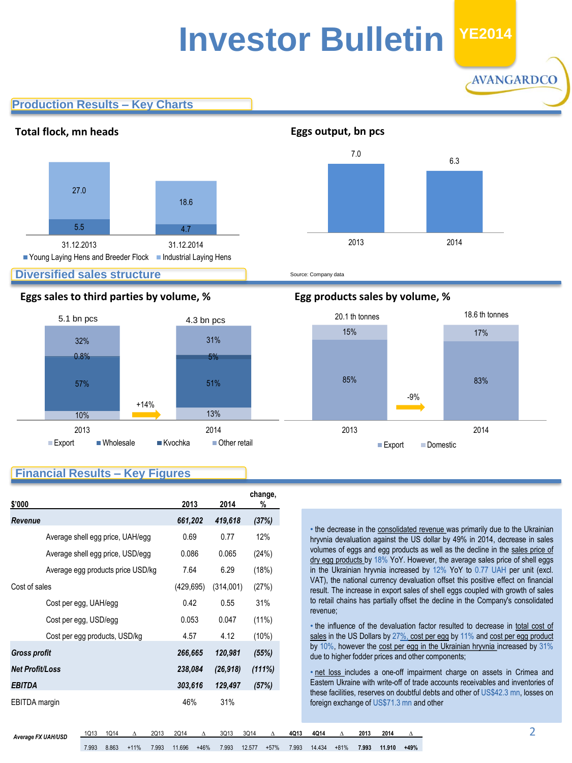## **Investor Bulletin 2011 YE2014**

**Production Results – Key Charts**



#### **Diversified sales structure**

#### **Eggs sales to third parties by volume, % Egg products sales by volume, %**



Source: Company data



AVANGARDCO

#### **Financial Results – Key Figures**

| \$'000                 |                                   | 2013       | 2014      | change,<br>% |
|------------------------|-----------------------------------|------------|-----------|--------------|
| Revenue                |                                   | 661,202    | 419,618   | (37%)        |
|                        | Average shell egg price, UAH/egg  | 0.69       | 0.77      | 12%          |
|                        | Average shell egg price, USD/egg  | 0.086      | 0.065     | (24%)        |
|                        | Average egg products price USD/kg | 7.64       | 6.29      | (18%)        |
| Cost of sales          |                                   | (429, 695) | (314,001) | (27%)        |
|                        | Cost per egg, UAH/egg             | 0.42       | 0.55      | 31%          |
|                        | Cost per egg, USD/egg             | 0.053      | 0.047     | (11%)        |
|                        | Cost per egg products, USD/kg     | 4.57       | 4.12      | $(10\%)$     |
| <b>Gross profit</b>    |                                   | 266.665    | 120,981   | (55%)        |
| <b>Net Profit/Loss</b> |                                   | 238,084    | (26, 918) | (111%)       |
| <b>EBITDA</b>          |                                   | 303,616    | 129,497   | (57%)        |
| EBITDA margin          |                                   | 46%        | 31%       |              |

• the decrease in the consolidated revenue was primarily due to the Ukrainian hryvnia devaluation against the US dollar by 49% in 2014, decrease in sales volumes of eggs and egg products as well as the decline in the sales price of dry egg products by 18% YoY. However, the average sales price of shell eggs in the Ukrainian hryvnia increased by 12% YoY to 0.77 UAH per unit (excl. VAT), the national currency devaluation offset this positive effect on financial result. The increase in export sales of shell eggs coupled with growth of sales to retail chains has partially offset the decline in the Company's consolidated revenue;

• the influence of the devaluation factor resulted to decrease in total cost of sales in the US Dollars by 27%, cost per egg by 11% and cost per egg product by 10%, however the cost per egg in the Ukrainian hryvnia increased by 31% due to higher fodder prices and other components;

• net loss includes a one-off impairment charge on assets in Crimea and Eastern Ukraine with write-off of trade accounts receivables and inventories of these facilities, reserves on doubtful debts and other of US\$42.3 mn, losses on foreign exchange of US\$71.3 mn and other

*Average FX UAH/USD* 1Q13 1Q14 <sup>∆</sup> 2Q13 2Q14 <sup>∆</sup> 3Q13 3Q14 <sup>∆</sup> **4Q13 4Q14 <sup>∆</sup> <sup>2013</sup> <sup>2014</sup> <sup>∆</sup>**

7.993 8.863 +11% 7.993 11.696 +46% 7.993 12.577 +57% 7.993 14.434 +81% **7.993 11.910 +49%**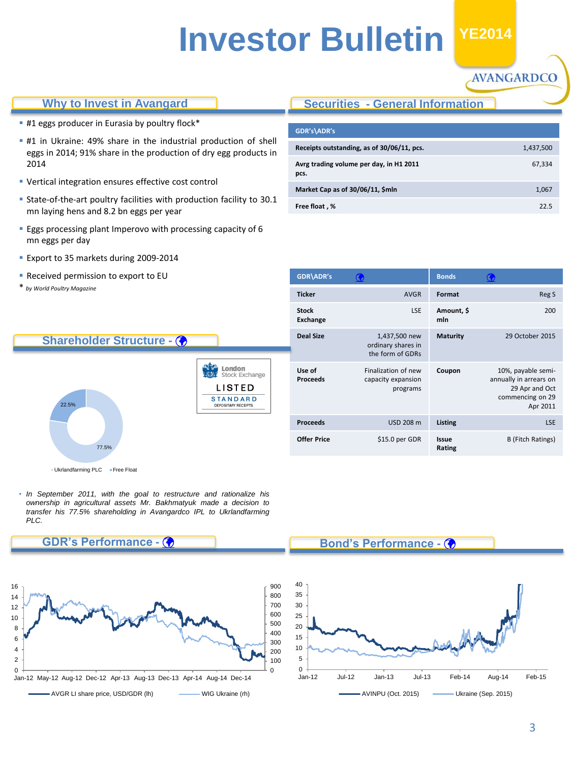## **Investor Bulletin H1 YE2014**

#### **Why to Invest in Avangard**

- **#1 eggs producer in Eurasia by poultry flock\***
- **#1** in Ukraine: 49% share in the industrial production of shell eggs in 2014; 91% share in the production of dry egg products in 2014
- Vertical integration ensures effective cost control
- State-of-the-art poultry facilities with production facility to 30.1 mn laying hens and 8.2 bn eggs per year
- **Eggs processing plant Imperovo with processing capacity of 6** mn eggs per day
- Export to 35 markets during 2009-2014
- **Received permission to export to EU**
- \* *by World Poultry Magazine*

#### **Securities - General Information**

**GDR\ADR's Bonds** 

ordinary shares in the form of GDRs

Finalization of new capacity expansion programs

**Deal Size** 1,437,500 new

**Stock Exchange**

**Use of Proceeds**

| GDR's\ADR's                                     |           |
|-------------------------------------------------|-----------|
| Receipts outstanding, as of 30/06/11, pcs.      | 1,437,500 |
| Avrg trading volume per day, in H1 2011<br>pcs. | 67,334    |
| Market Cap as of 30/06/11, \$mln                | 1,067     |
| Free float, %                                   | 225       |

**Ticker AVGR Format Reg S** 

**Proceeds** USD 208 m **Listing LSE** 

**Rating**

LSE **Amount, \$ mln**

| Shareholder Structure - (            |                                                                                            |
|--------------------------------------|--------------------------------------------------------------------------------------------|
| 22.5%<br>77.5%                       | London<br><b>Stock Exchange</b><br>LISTED<br><b>STANDARD</b><br><b>DEPOSITARY RECEIPTS</b> |
| . Ukrlandfarming PLC<br>• Free Float |                                                                                            |

• *In September 2011, with the goal to restructure and rationalize his ownership in agricultural assets Mr. Bakhmatyuk made a decision to transfer his 77.5% shareholding in Avangardco IPL to Ukrlandfarming PLC.*



#### **Bond's Performance -**

**Offer Price**  $$15.0$  per GDR **Issue** 

200

**Maturity** 29 October 2015

**Coupon** 10%, payable semi-

annually in arrears on 29 Apr and Oct commencing on 29 Apr 2011

AVANGARDCO

B (Fitch Ratings)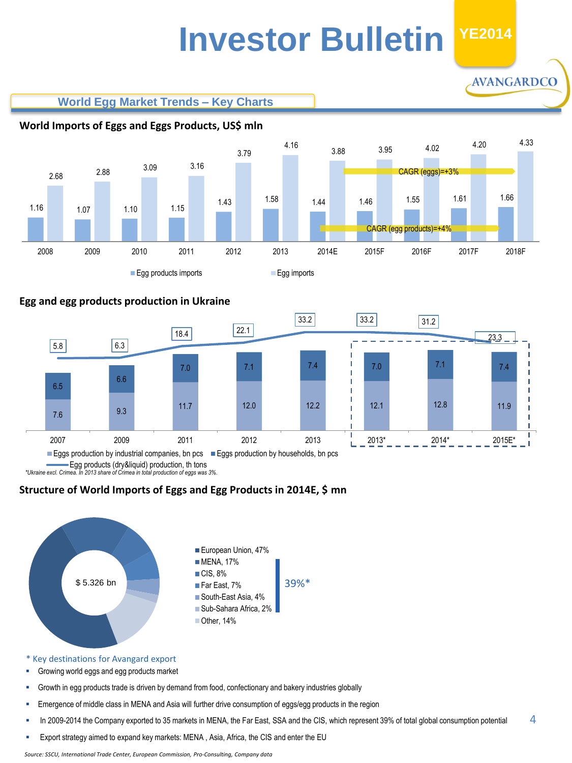## **Investor Bulletin YE2014**

AVANGARDCO

**World Egg Market Trends – Key Charts**



#### **Egg and egg products production in Ukraine**



Egg products (dry&liquid) production, th tons

*\*Ukraine excl. Crimea. In 2013 share of Crimea in total production of eggs was 3%.*

#### **Structure of World Imports of Eggs and Egg Products in 2014E, \$ mn**



\* Key destinations for Avangard export

- Growing world eggs and egg products market
- Growth in egg products trade is driven by demand from food, confectionary and bakery industries globally
- Emergence of middle class in MENA and Asia will further drive consumption of eggs/egg products in the region
- In 2009-2014 the Company exported to 35 markets in MENA, the Far East, SSA and the CIS, which represent 39% of total global consumption potential 4
- <span id="page-3-0"></span>Export strategy aimed to expand key markets: MENA , Asia, Africa, the CIS and enter the EU